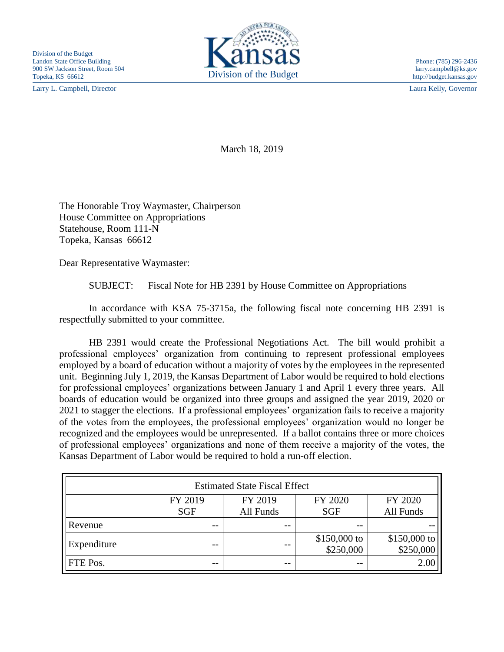Larry L. Campbell, Director Laura Kelly, Governor



March 18, 2019

The Honorable Troy Waymaster, Chairperson House Committee on Appropriations Statehouse, Room 111-N Topeka, Kansas 66612

Dear Representative Waymaster:

SUBJECT: Fiscal Note for HB 2391 by House Committee on Appropriations

In accordance with KSA 75-3715a, the following fiscal note concerning HB 2391 is respectfully submitted to your committee.

HB 2391 would create the Professional Negotiations Act. The bill would prohibit a professional employees' organization from continuing to represent professional employees employed by a board of education without a majority of votes by the employees in the represented unit. Beginning July 1, 2019, the Kansas Department of Labor would be required to hold elections for professional employees' organizations between January 1 and April 1 every three years. All boards of education would be organized into three groups and assigned the year 2019, 2020 or 2021 to stagger the elections. If a professional employees' organization fails to receive a majority of the votes from the employees, the professional employees' organization would no longer be recognized and the employees would be unrepresented. If a ballot contains three or more choices of professional employees' organizations and none of them receive a majority of the votes, the Kansas Department of Labor would be required to hold a run-off election.

| <b>Estimated State Fiscal Effect</b> |            |           |                            |                           |
|--------------------------------------|------------|-----------|----------------------------|---------------------------|
|                                      | FY 2019    | FY 2019   | FY 2020                    | FY 2020                   |
|                                      | <b>SGF</b> | All Funds | <b>SGF</b>                 | All Funds                 |
| Revenue                              | --         | --        | $ -$                       |                           |
| Expenditure                          | --         | --        | $$150,000$ to<br>\$250,000 | \$150,000 to<br>\$250,000 |
| FTE Pos.                             | --         | --        |                            | 2.00                      |